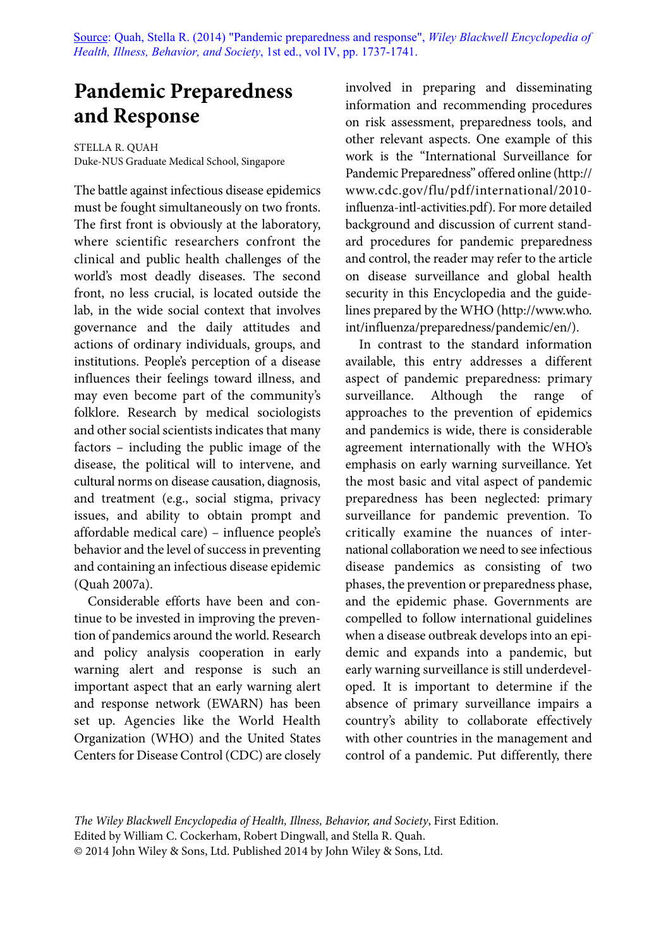Source: Quah, Stella R. (2014) "Pandemic preparedness and response", *Wiley Blackwell Encyclopedia of Health, Illness, Behavior, and Society*, 1st ed., vol IV, pp. 1737-1741.

## **Pandemic Preparedness and Response**

STELLA R. QUAH Duke-NUS Graduate Medical School, Singapore

The battle against infectious disease epidemics must be fought simultaneously on two fronts. The first front is obviously at the laboratory, where scientific researchers confront the clinical and public health challenges of the world's most deadly diseases. The second front, no less crucial, is located outside the lab, in the wide social context that involves governance and the daily attitudes and actions of ordinary individuals, groups, and institutions. People's perception of a disease influences their feelings toward illness, and may even become part of the community's folklore. Research by medical sociologists and other social scientists indicates that many factors – including the public image of the disease, the political will to intervene, and cultural norms on disease causation, diagnosis, and treatment (e.g., social stigma, privacy issues, and ability to obtain prompt and affordable medical care) – influence people's behavior and the level of success in preventing and containing an infectious disease epidemic (Quah 2007a).

Considerable efforts have been and continue to be invested in improving the prevention of pandemics around the world. Research and policy analysis cooperation in early warning alert and response is such an important aspect that an early warning alert and response network (EWARN) has been set up. Agencies like the World Health Organization (WHO) and the United States Centers for Disease Control (CDC) are closely involved in preparing and disseminating information and recommending procedures on risk assessment, preparedness tools, and other relevant aspects. One example of this work is the "International Surveillance for Pandemic Preparedness" offered online (http:// www.cdc.gov/flu/pdf/international/2010 influenza-intl-activities.pdf). For more detailed background and discussion of current standard procedures for pandemic preparedness and control, the reader may refer to the article on disease surveillance and global health security in this Encyclopedia and the guidelines prepared by the WHO (http://www.who. int/influenza/preparedness/pandemic/en/).

In contrast to the standard information available, this entry addresses a different aspect of pandemic preparedness: primary surveillance. Although the range of approaches to the prevention of epidemics and pandemics is wide, there is considerable agreement internationally with the WHO's emphasis on early warning surveillance. Yet the most basic and vital aspect of pandemic preparedness has been neglected: primary surveillance for pandemic prevention. To critically examine the nuances of international collaboration we need to see infectious disease pandemics as consisting of two phases, the prevention or preparedness phase, and the epidemic phase. Governments are compelled to follow international guidelines when a disease outbreak develops into an epidemic and expands into a pandemic, but early warning surveillance is still underdeveloped. It is important to determine if the absence of primary surveillance impairs a country's ability to collaborate effectively with other countries in the management and control of a pandemic. Put differently, there

*The Wiley Blackwell Encyclopedia of Health, Illness, Behavior, and Society*, First Edition. Edited by William C. Cockerham, Robert Dingwall, and Stella R. Quah. © 2014 John Wiley & Sons, Ltd. Published 2014 by John Wiley & Sons, Ltd.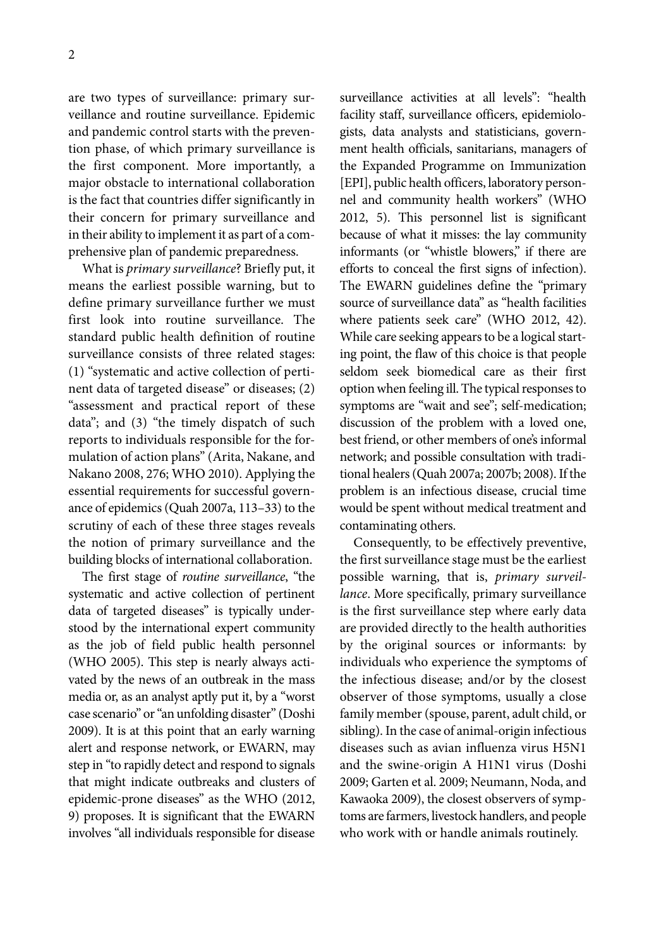are two types of surveillance: primary surveillance and routine surveillance. Epidemic and pandemic control starts with the prevention phase, of which primary surveillance is the first component. More importantly, a major obstacle to international collaboration is the fact that countries differ significantly in their concern for primary surveillance and in their ability to implement it as part of a comprehensive plan of pandemic preparedness.

What is *primary surveillance*? Briefly put, it means the earliest possible warning, but to define primary surveillance further we must first look into routine surveillance. The standard public health definition of routine surveillance consists of three related stages: (1) "systematic and active collection of pertinent data of targeted disease" or diseases; (2) "assessment and practical report of these data"; and (3) "the timely dispatch of such reports to individuals responsible for the formulation of action plans" (Arita, Nakane, and Nakano 2008, 276; WHO 2010). Applying the essential requirements for successful governance of epidemics (Quah 2007a, 113–33) to the scrutiny of each of these three stages reveals the notion of primary surveillance and the building blocks of international collaboration.

The first stage of *routine surveillance*, "the systematic and active collection of pertinent data of targeted diseases" is typically understood by the international expert community as the job of field public health personnel (WHO 2005). This step is nearly always activated by the news of an outbreak in the mass media or, as an analyst aptly put it, by a "worst case scenario" or "an unfolding disaster" (Doshi 2009). It is at this point that an early warning alert and response network, or EWARN, may step in "to rapidly detect and respond to signals that might indicate outbreaks and clusters of epidemic-prone diseases" as the WHO (2012, 9) proposes. It is significant that the EWARN involves "all individuals responsible for disease

surveillance activities at all levels": "health facility staff, surveillance officers, epidemiologists, data analysts and statisticians, government health officials, sanitarians, managers of the Expanded Programme on Immunization [EPI], public health officers, laboratory personnel and community health workers" (WHO 2012, 5). This personnel list is significant because of what it misses: the lay community informants (or "whistle blowers," if there are efforts to conceal the first signs of infection). The EWARN guidelines define the "primary source of surveillance data" as "health facilities where patients seek care" (WHO 2012, 42). While care seeking appears to be a logical starting point, the flaw of this choice is that people seldom seek biomedical care as their first option when feeling ill. The typical responses to symptoms are "wait and see"; self-medication; discussion of the problem with a loved one, best friend, or other members of one's informal network; and possible consultation with traditional healers (Quah 2007a; 2007b; 2008). If the problem is an infectious disease, crucial time would be spent without medical treatment and contaminating others.

Consequently, to be effectively preventive, the first surveillance stage must be the earliest possible warning, that is, *primary surveillance*. More specifically, primary surveillance is the first surveillance step where early data are provided directly to the health authorities by the original sources or informants: by individuals who experience the symptoms of the infectious disease; and/or by the closest observer of those symptoms, usually a close family member (spouse, parent, adult child, or sibling). In the case of animal-origin infectious diseases such as avian influenza virus H5N1 and the swine-origin A H1N1 virus (Doshi 2009; Garten et al. 2009; Neumann, Noda, and Kawaoka 2009), the closest observers of symptoms are farmers, livestock handlers, and people who work with or handle animals routinely.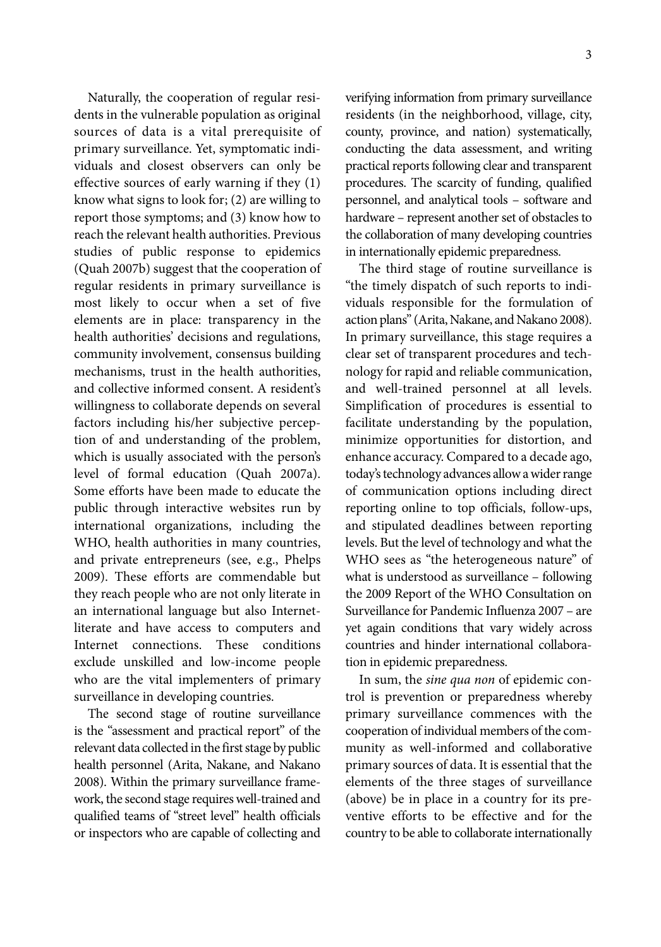Naturally, the cooperation of regular residents in the vulnerable population as original sources of data is a vital prerequisite of primary surveillance. Yet, symptomatic individuals and closest observers can only be effective sources of early warning if they (1) know what signs to look for; (2) are willing to report those symptoms; and (3) know how to reach the relevant health authorities. Previous studies of public response to epidemics (Quah 2007b) suggest that the cooperation of regular residents in primary surveillance is most likely to occur when a set of five elements are in place: transparency in the health authorities' decisions and regulations, community involvement, consensus building mechanisms, trust in the health authorities, and collective informed consent. A resident's willingness to collaborate depends on several factors including his/her subjective perception of and understanding of the problem, which is usually associated with the person's level of formal education (Quah 2007a). Some efforts have been made to educate the public through interactive websites run by international organizations, including the WHO, health authorities in many countries, and private entrepreneurs (see, e.g., Phelps 2009). These efforts are commendable but they reach people who are not only literate in an international language but also Internetliterate and have access to computers and Internet connections. These conditions exclude unskilled and low-income people who are the vital implementers of primary surveillance in developing countries.

The second stage of routine surveillance is the "assessment and practical report" of the relevant data collected in the first stage by public health personnel (Arita, Nakane, and Nakano 2008). Within the primary surveillance framework, the second stage requires well-trained and qualified teams of "street level" health officials or inspectors who are capable of collecting and verifying information from primary surveillance residents (in the neighborhood, village, city, county, province, and nation) systematically, conducting the data assessment, and writing practical reports following clear and transparent procedures. The scarcity of funding, qualified personnel, and analytical tools – software and hardware – represent another set of obstacles to the collaboration of many developing countries in internationally epidemic preparedness.

The third stage of routine surveillance is "the timely dispatch of such reports to individuals responsible for the formulation of action plans" (Arita, Nakane, and Nakano 2008). In primary surveillance, this stage requires a clear set of transparent procedures and technology for rapid and reliable communication, and well-trained personnel at all levels. Simplification of procedures is essential to facilitate understanding by the population, minimize opportunities for distortion, and enhance accuracy. Compared to a decade ago, today's technology advances allow a wider range of communication options including direct reporting online to top officials, follow-ups, and stipulated deadlines between reporting levels. But the level of technology and what the WHO sees as "the heterogeneous nature" of what is understood as surveillance – following the 2009 Report of the WHO Consultation on Surveillance for Pandemic Influenza 2007 – are yet again conditions that vary widely across countries and hinder international collaboration in epidemic preparedness.

In sum, the *sine qua non* of epidemic control is prevention or preparedness whereby primary surveillance commences with the cooperation of individual members of the community as well-informed and collaborative primary sources of data. It is essential that the elements of the three stages of surveillance (above) be in place in a country for its preventive efforts to be effective and for the country to be able to collaborate internationally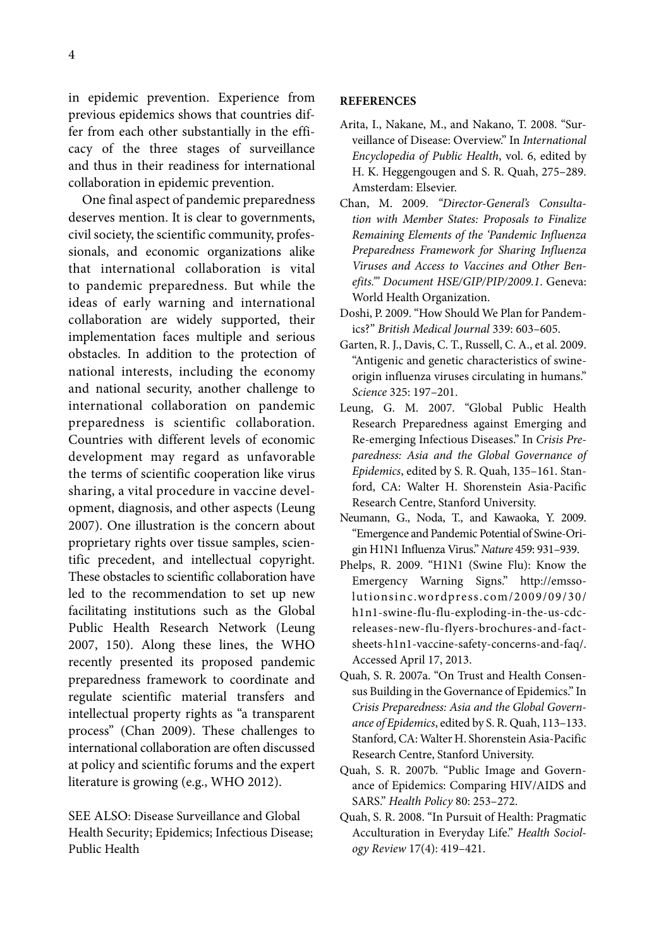in epidemic prevention. Experience from previous epidemics shows that countries differ from each other substantially in the efficacy of the three stages of surveillance and thus in their readiness for international collaboration in epidemic prevention.

One final aspect of pandemic preparedness deserves mention. It is clear to governments, civil society, the scientific community, professionals, and economic organizations alike that international collaboration is vital to pandemic preparedness. But while the ideas of early warning and international collaboration are widely supported, their implementation faces multiple and serious obstacles. In addition to the protection of national interests, including the economy and national security, another challenge to international collaboration on pandemic preparedness is scientific collaboration. Countries with different levels of economic development may regard as unfavorable the terms of scientific cooperation like virus sharing, a vital procedure in vaccine development, diagnosis, and other aspects (Leung 2007). One illustration is the concern about proprietary rights over tissue samples, scientific precedent, and intellectual copyright. These obstacles to scientific collaboration have led to the recommendation to set up new facilitating institutions such as the Global Public Health Research Network (Leung 2007, 150). Along these lines, the WHO recently presented its proposed pandemic preparedness framework to coordinate and regulate scientific material transfers and intellectual property rights as "a transparent process" (Chan 2009). These challenges to international collaboration are often discussed at policy and scientific forums and the expert literature is growing (e.g., WHO 2012).

SEE ALSO: Disease Surveillance and Global Health Security; Epidemics; Infectious Disease; Public Health

## **REFERENCES**

- Arita, I., Nakane, M., and Nakano, T. 2008. "Surveillance of Disease: Overview." In *International Encyclopedia of Public Health*, vol. 6, edited by H. K. Heggengougen and S. R. Quah, 275–289. Amsterdam: Elsevier.
- Chan, M. 2009. *"Director-General's Consultation with Member States: Proposals to Finalize Remaining Elements of the 'Pandemic Influenza Preparedness Framework for Sharing Influenza Viruses and Access to Vaccines and Other Benefits.'" Document HSE/GIP/PIP/2009.1*. Geneva: World Health Organization.
- Doshi, P. 2009. "How Should We Plan for Pandemics?" *British Medical Journal* 339: 603–605.
- Garten, R. J., Davis, C. T., Russell, C. A., et al. 2009. "Antigenic and genetic characteristics of swineorigin influenza viruses circulating in humans." *Science* 325: 197–201.
- Leung, G. M. 2007. "Global Public Health Research Preparedness against Emerging and Re- emerging Infectious Diseases." In *Crisis Preparedness: Asia and the Global Governance of Epidemics*, edited by S. R. Quah, 135–161. Stanford, CA: Walter H. Shorenstein Asia-Pacific Research Centre, Stanford University.
- Neumann, G., Noda, T., and Kawaoka, Y. 2009. "Emergence and Pandemic Potential of Swine-Origin H1N1 Influenza Virus." *Nature* 459: 931–939.
- Phelps, R. 2009. "H1N1 (Swine Flu): Know the Emergency Warning Signs." http://emssolutionsinc.wordpress.com/2009/09/30/ h1n1-swine-flu-flu-exploding-in-the-us-cdcreleases-new-flu-flyers-brochures-and-factsheets-h1n1-vaccine-safety-concerns-and-faq/. Accessed April 17, 2013.
- Quah, S. R. 2007a. "On Trust and Health Consensus Building in the Governance of Epidemics." In *Crisis Preparedness: Asia and the Global Governance of Epidemics*, edited by S. R. Quah, 113–133. Stanford, CA: Walter H. Shorenstein Asia-Pacific Research Centre, Stanford University.
- Quah, S. R. 2007b. "Public Image and Governance of Epidemics: Comparing HIV/AIDS and SARS." *Health Policy* 80: 253–272.
- Quah, S. R. 2008. "In Pursuit of Health: Pragmatic Acculturation in Everyday Life." *Health Sociology Review* 17(4): 419–421.